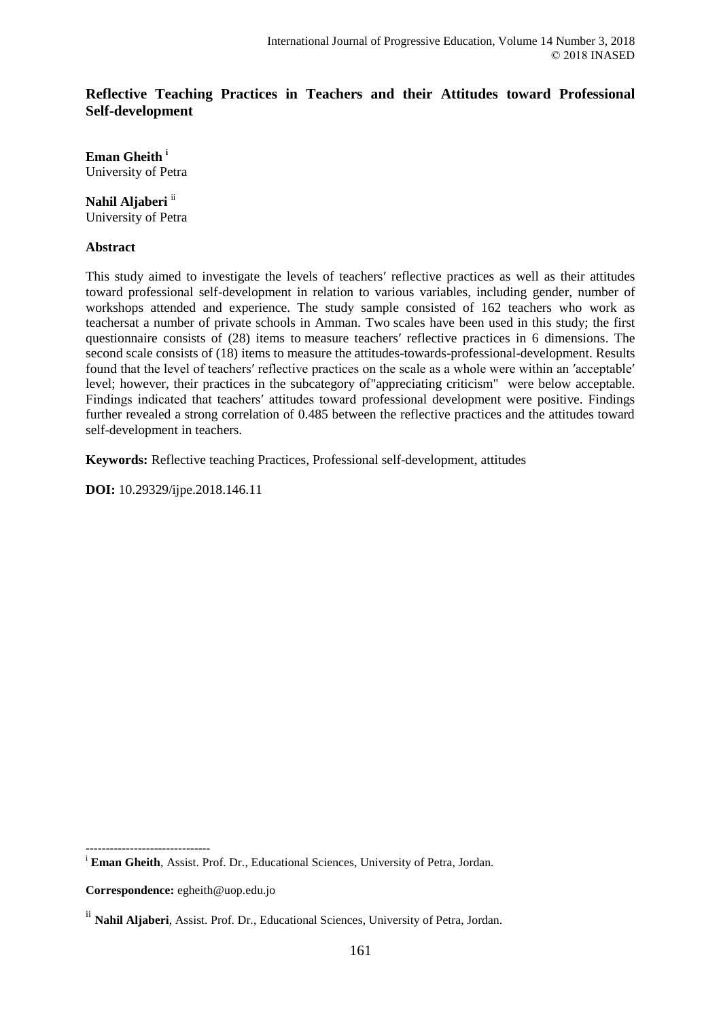# **Reflective Teaching Practices in Teachers and their Attitudes toward Professional Self-development**

**Eman Gheith <sup>i</sup>** University of Petra

**Nahil Aljaberi** ii University of Petra

#### **Abstract**

This study aimed to investigate the levels of teachers′ reflective practices as well as their attitudes toward professional self-development in relation to various variables, including gender, number of workshops attended and experience. The study sample consisted of 162 teachers who work as teachersat a number of private schools in Amman. Two scales have been used in this study; the first questionnaire consists of (28) items to measure teachers′ reflective practices in 6 dimensions. The second scale consists of (18) items to measure the attitudes-towards-professional-development. Results found that the level of teachers′ reflective practices on the scale as a whole were within an ′acceptable′ level; however, their practices in the subcategory of"appreciating criticism" were below acceptable. Findings indicated that teachers′ attitudes toward professional development were positive. Findings further revealed a strong correlation of 0.485 between the reflective practices and the attitudes toward self-development in teachers.

**Keywords:** Reflective teaching Practices, Professional self-development, attitudes

**DOI:** 10.29329/ijpe.2018.146.11

<sup>i</sup> **Eman Gheith**, Assist. Prof. Dr., Educational Sciences, University of Petra, Jordan.

**Correspondence:** egheith@uop.edu.jo

-------------------------------

ii **Nahil Aljaberi**, Assist. Prof. Dr., Educational Sciences, University of Petra, Jordan.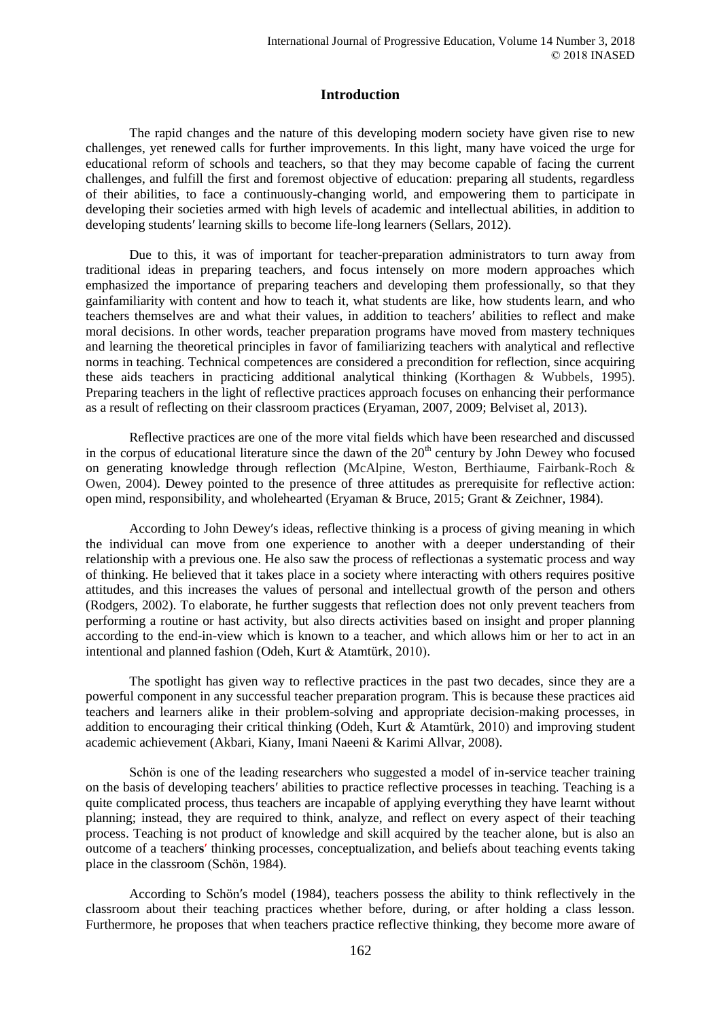### **Introduction**

The rapid changes and the nature of this developing modern society have given rise to new challenges, yet renewed calls for further improvements. In this light, many have voiced the urge for educational reform of schools and teachers, so that they may become capable of facing the current challenges, and fulfill the first and foremost objective of education: preparing all students, regardless of their abilities, to face a continuously-changing world, and empowering them to participate in developing their societies armed with high levels of academic and intellectual abilities, in addition to developing students′ learning skills to become life-long learners (Sellars, 2012).

Due to this, it was of important for teacher-preparation administrators to turn away from traditional ideas in preparing teachers, and focus intensely on more modern approaches which emphasized the importance of preparing teachers and developing them professionally, so that they gainfamiliarity with content and how to teach it, what students are like, how students learn, and who teachers themselves are and what their values, in addition to teachers′ abilities to reflect and make moral decisions. In other words, teacher preparation programs have moved from mastery techniques and learning the theoretical principles in favor of familiarizing teachers with analytical and reflective norms in teaching. Technical competences are considered a precondition for reflection, since acquiring these aids teachers in practicing additional analytical thinking (Korthagen & Wubbels, 1995). Preparing teachers in the light of reflective practices approach focuses on enhancing their performance as a result of reflecting on their classroom practices (Eryaman, 2007, 2009; Belviset al, 2013).

Reflective practices are one of the more vital fields which have been researched and discussed in the corpus of educational literature since the dawn of the  $20<sup>th</sup>$  century by John Dewey who focused on generating knowledge through reflection (McAlpine, Weston, Berthiaume, Fairbank-Roch & Owen, 2004). Dewey pointed to the presence of three attitudes as prerequisite for reflective action: open mind, responsibility, and wholehearted (Eryaman & Bruce, 2015; Grant & Zeichner, 1984).

According to John Dewey′s ideas, reflective thinking is a process of giving meaning in which the individual can move from one experience to another with a deeper understanding of their relationship with a previous one. He also saw the process of reflectionas a systematic process and way of thinking. He believed that it takes place in a society where interacting with others requires positive attitudes, and this increases the values of personal and intellectual growth of the person and others (Rodgers, 2002). To elaborate, he further suggests that reflection does not only prevent teachers from performing a routine or hast activity, but also directs activities based on insight and proper planning according to the end-in-view which is known to a teacher, and which allows him or her to act in an intentional and planned fashion (Odeh, Kurt & Atamtürk, 2010).

The spotlight has given way to reflective practices in the past two decades, since they are a powerful component in any successful teacher preparation program. This is because these practices aid teachers and learners alike in their problem-solving and appropriate decision-making processes, in addition to encouraging their critical thinking (Odeh, Kurt & Atamtürk, 2010) and improving student academic achievement (Akbari, Kiany, Imani Naeeni & Karimi Allvar, 2008).

Schön is one of the leading researchers who suggested a model of in-service teacher training on the basis of developing teachers′ abilities to practice reflective processes in teaching. Teaching is a quite complicated process, thus teachers are incapable of applying everything they have learnt without planning; instead, they are required to think, analyze, and reflect on every aspect of their teaching process. Teaching is not product of knowledge and skill acquired by the teacher alone, but is also an outcome of a teacher**s**′ thinking processes, conceptualization, and beliefs about teaching events taking place in the classroom (Schön, 1984).

According to Schön′s model (1984), teachers possess the ability to think reflectively in the classroom about their teaching practices whether before, during, or after holding a class lesson. Furthermore, he proposes that when teachers practice reflective thinking, they become more aware of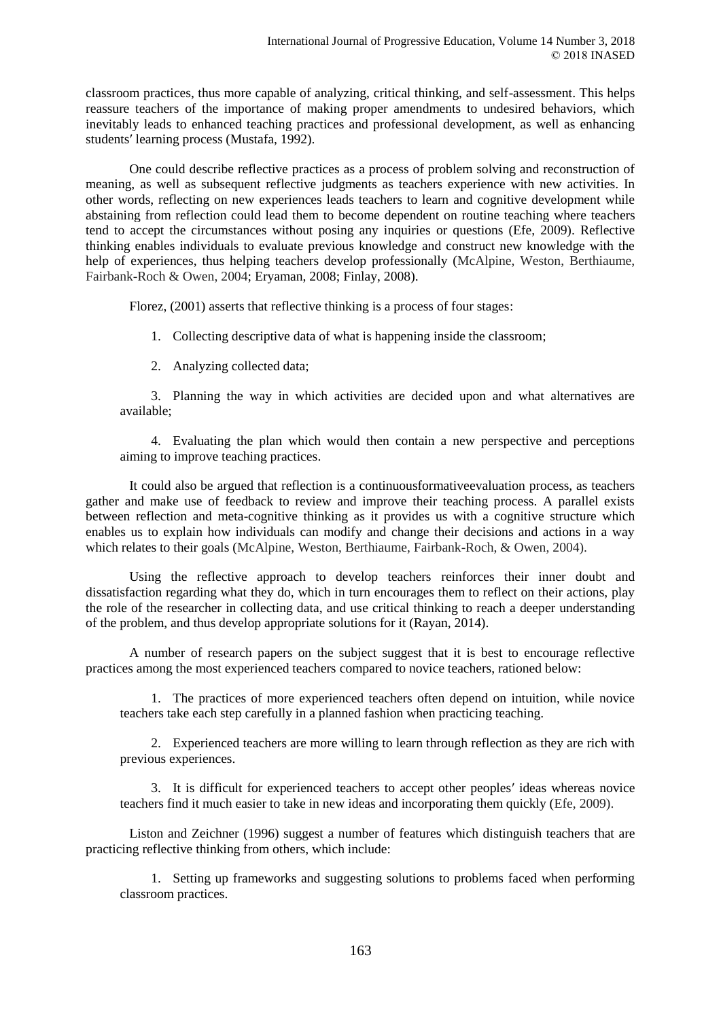classroom practices, thus more capable of analyzing, critical thinking, and self-assessment. This helps reassure teachers of the importance of making proper amendments to undesired behaviors, which inevitably leads to enhanced teaching practices and professional development, as well as enhancing students′ learning process (Mustafa, 1992).

One could describe reflective practices as a process of problem solving and reconstruction of meaning, as well as subsequent reflective judgments as teachers experience with new activities. In other words, reflecting on new experiences leads teachers to learn and cognitive development while abstaining from reflection could lead them to become dependent on routine teaching where teachers tend to accept the circumstances without posing any inquiries or questions (Efe, 2009). Reflective thinking enables individuals to evaluate previous knowledge and construct new knowledge with the help of experiences, thus helping teachers develop professionally (McAlpine, Weston, Berthiaume, Fairbank-Roch & Owen, 2004; Eryaman, 2008; Finlay, 2008).

Florez, (2001) asserts that reflective thinking is a process of four stages:

- 1. Collecting descriptive data of what is happening inside the classroom;
- 2. Analyzing collected data;

3. Planning the way in which activities are decided upon and what alternatives are available;

4. Evaluating the plan which would then contain a new perspective and perceptions aiming to improve teaching practices.

It could also be argued that reflection is a continuousformativeevaluation process, as teachers gather and make use of feedback to review and improve their teaching process. A parallel exists between reflection and meta-cognitive thinking as it provides us with a cognitive structure which enables us to explain how individuals can modify and change their decisions and actions in a way which relates to their goals (McAlpine, Weston, Berthiaume, Fairbank-Roch, & Owen, 2004).

Using the reflective approach to develop teachers reinforces their inner doubt and dissatisfaction regarding what they do, which in turn encourages them to reflect on their actions, play the role of the researcher in collecting data, and use critical thinking to reach a deeper understanding of the problem, and thus develop appropriate solutions for it (Rayan, 2014).

A number of research papers on the subject suggest that it is best to encourage reflective practices among the most experienced teachers compared to novice teachers, rationed below:

1. The practices of more experienced teachers often depend on intuition, while novice teachers take each step carefully in a planned fashion when practicing teaching.

2. Experienced teachers are more willing to learn through reflection as they are rich with previous experiences.

3. It is difficult for experienced teachers to accept other peoples′ ideas whereas novice teachers find it much easier to take in new ideas and incorporating them quickly (Efe, 2009).

Liston and Zeichner (1996) suggest a number of features which distinguish teachers that are practicing reflective thinking from others, which include:

1. Setting up frameworks and suggesting solutions to problems faced when performing classroom practices.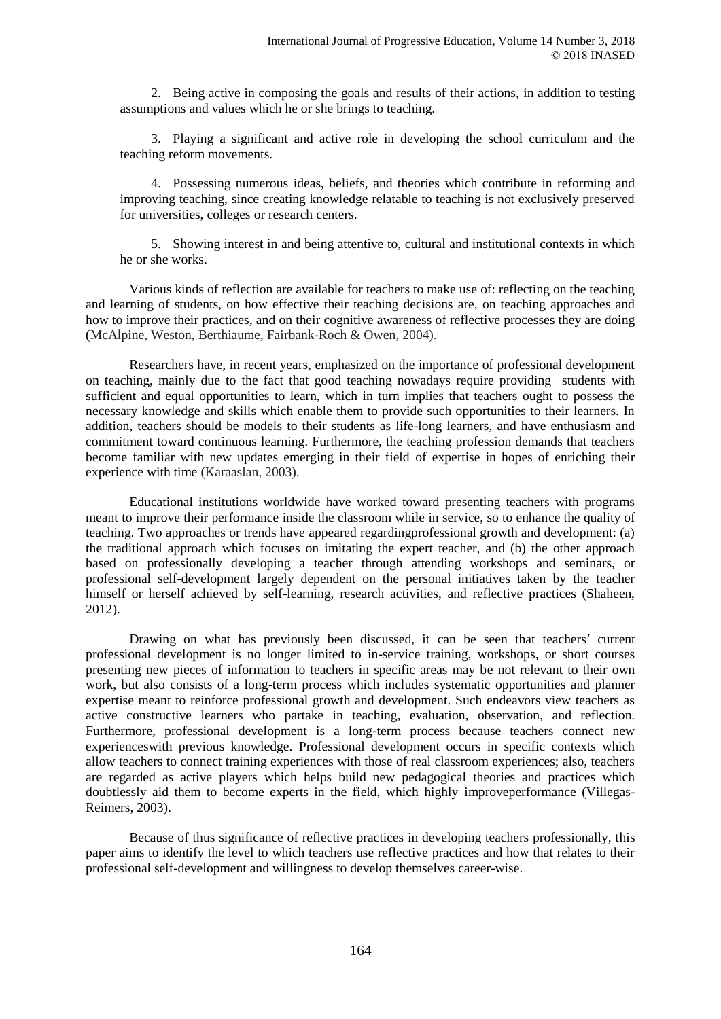2. Being active in composing the goals and results of their actions, in addition to testing assumptions and values which he or she brings to teaching.

3. Playing a significant and active role in developing the school curriculum and the teaching reform movements.

4. Possessing numerous ideas, beliefs, and theories which contribute in reforming and improving teaching, since creating knowledge relatable to teaching is not exclusively preserved for universities, colleges or research centers.

5. Showing interest in and being attentive to, cultural and institutional contexts in which he or she works.

Various kinds of reflection are available for teachers to make use of: reflecting on the teaching and learning of students, on how effective their teaching decisions are, on teaching approaches and how to improve their practices, and on their cognitive awareness of reflective processes they are doing (McAlpine, Weston, Berthiaume, Fairbank-Roch & Owen, 2004).

Researchers have, in recent years, emphasized on the importance of professional development on teaching, mainly due to the fact that good teaching nowadays require providing students with sufficient and equal opportunities to learn, which in turn implies that teachers ought to possess the necessary knowledge and skills which enable them to provide such opportunities to their learners. In addition, teachers should be models to their students as life-long learners, and have enthusiasm and commitment toward continuous learning. Furthermore, the teaching profession demands that teachers become familiar with new updates emerging in their field of expertise in hopes of enriching their experience with time (Karaaslan, 2003).

Educational institutions worldwide have worked toward presenting teachers with programs meant to improve their performance inside the classroom while in service, so to enhance the quality of teaching. Two approaches or trends have appeared regardingprofessional growth and development: (a) the traditional approach which focuses on imitating the expert teacher, and (b) the other approach based on professionally developing a teacher through attending workshops and seminars, or professional self-development largely dependent on the personal initiatives taken by the teacher himself or herself achieved by self-learning, research activities, and reflective practices (Shaheen, 2012).

Drawing on what has previously been discussed, it can be seen that teachers′ current professional development is no longer limited to in-service training, workshops, or short courses presenting new pieces of information to teachers in specific areas may be not relevant to their own work, but also consists of a long-term process which includes systematic opportunities and planner expertise meant to reinforce professional growth and development. Such endeavors view teachers as active constructive learners who partake in teaching, evaluation, observation, and reflection. Furthermore, professional development is a long-term process because teachers connect new experienceswith previous knowledge. Professional development occurs in specific contexts which allow teachers to connect training experiences with those of real classroom experiences; also, teachers are regarded as active players which helps build new pedagogical theories and practices which doubtlessly aid them to become experts in the field, which highly improveperformance (Villegas-Reimers, 2003).

Because of thus significance of reflective practices in developing teachers professionally, this paper aims to identify the level to which teachers use reflective practices and how that relates to their professional self-development and willingness to develop themselves career-wise.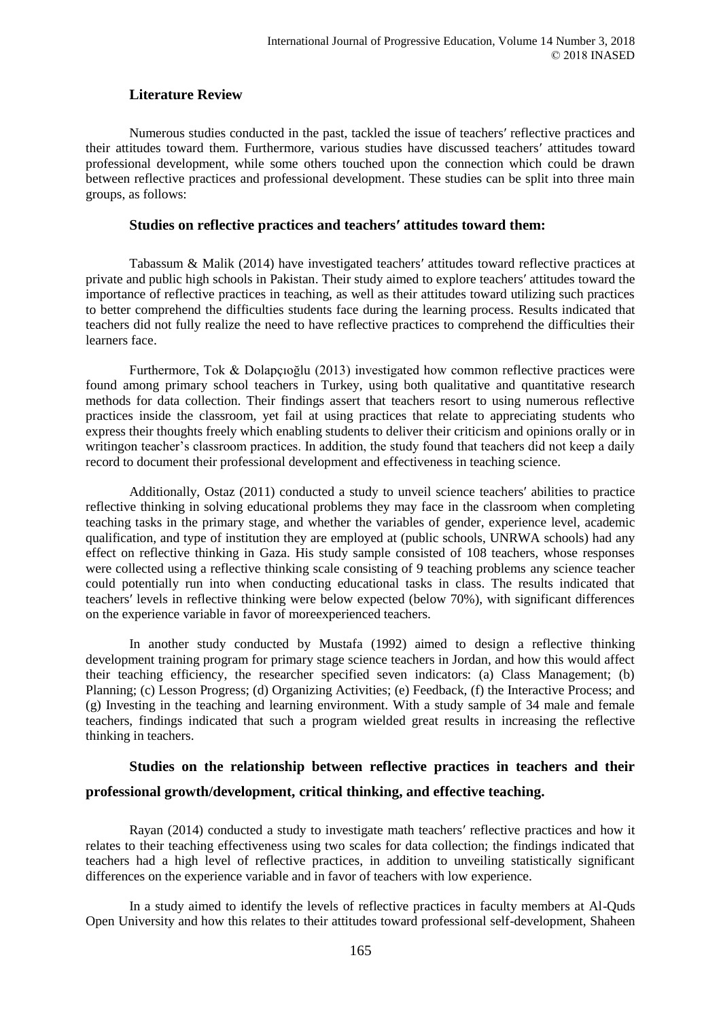# **Literature Review**

Numerous studies conducted in the past, tackled the issue of teachers′ reflective practices and their attitudes toward them. Furthermore, various studies have discussed teachers′ attitudes toward professional development, while some others touched upon the connection which could be drawn between reflective practices and professional development. These studies can be split into three main groups, as follows:

#### **Studies on reflective practices and teachers′ attitudes toward them:**

Tabassum & Malik (2014) have investigated teachers′ attitudes toward reflective practices at private and public high schools in Pakistan. Their study aimed to explore teachers′ attitudes toward the importance of reflective practices in teaching, as well as their attitudes toward utilizing such practices to better comprehend the difficulties students face during the learning process. Results indicated that teachers did not fully realize the need to have reflective practices to comprehend the difficulties their learners face.

Furthermore, Tok & Dolapçıoğlu (2013) investigated how common reflective practices were found among primary school teachers in Turkey, using both qualitative and quantitative research methods for data collection. Their findings assert that teachers resort to using numerous reflective practices inside the classroom, yet fail at using practices that relate to appreciating students who express their thoughts freely which enabling students to deliver their criticism and opinions orally or in writingon teacher's classroom practices. In addition, the study found that teachers did not keep a daily record to document their professional development and effectiveness in teaching science.

Additionally, Ostaz (2011) conducted a study to unveil science teachers′ abilities to practice reflective thinking in solving educational problems they may face in the classroom when completing teaching tasks in the primary stage, and whether the variables of gender, experience level, academic qualification, and type of institution they are employed at (public schools, UNRWA schools) had any effect on reflective thinking in Gaza. His study sample consisted of 108 teachers, whose responses were collected using a reflective thinking scale consisting of 9 teaching problems any science teacher could potentially run into when conducting educational tasks in class. The results indicated that teachers′ levels in reflective thinking were below expected (below 70%), with significant differences on the experience variable in favor of moreexperienced teachers.

In another study conducted by Mustafa (1992) aimed to design a reflective thinking development training program for primary stage science teachers in Jordan, and how this would affect their teaching efficiency, the researcher specified seven indicators: (a) Class Management; (b) Planning; (c) Lesson Progress; (d) Organizing Activities; (e) Feedback, (f) the Interactive Process; and (g) Investing in the teaching and learning environment. With a study sample of 34 male and female teachers, findings indicated that such a program wielded great results in increasing the reflective thinking in teachers.

# **Studies on the relationship between reflective practices in teachers and their professional growth/development, critical thinking, and effective teaching.**

Rayan (2014) conducted a study to investigate math teachers′ reflective practices and how it relates to their teaching effectiveness using two scales for data collection; the findings indicated that teachers had a high level of reflective practices, in addition to unveiling statistically significant differences on the experience variable and in favor of teachers with low experience.

In a study aimed to identify the levels of reflective practices in faculty members at Al-Quds Open University and how this relates to their attitudes toward professional self-development, Shaheen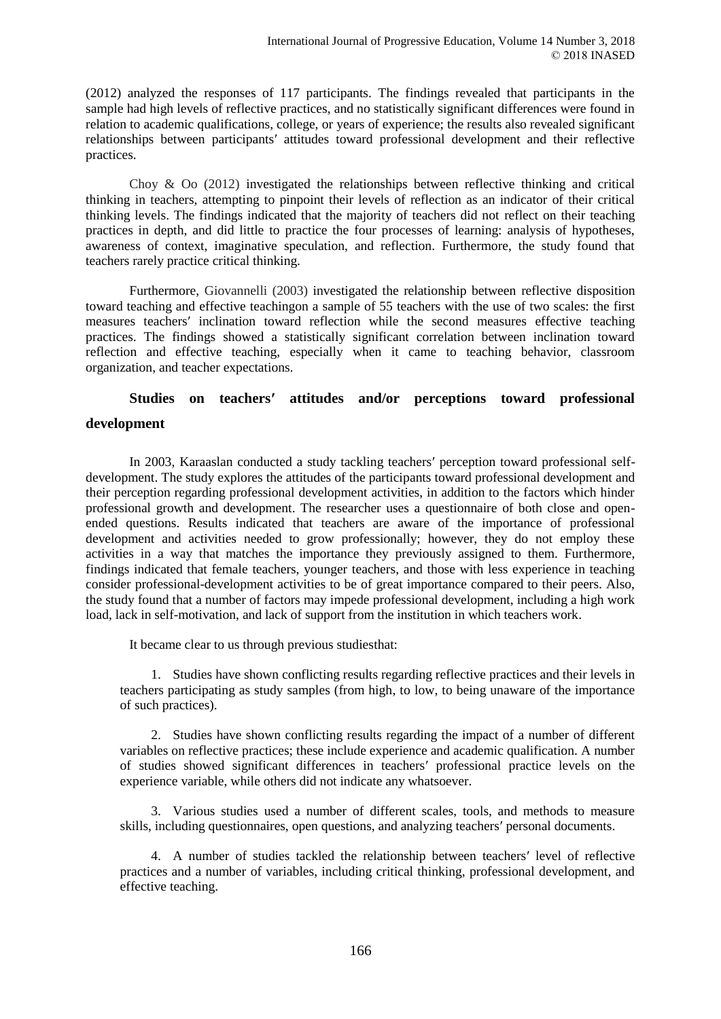(2012) analyzed the responses of 117 participants. The findings revealed that participants in the sample had high levels of reflective practices, and no statistically significant differences were found in relation to academic qualifications, college, or years of experience; the results also revealed significant relationships between participants′ attitudes toward professional development and their reflective practices.

Choy & Oo (2012) investigated the relationships between reflective thinking and critical thinking in teachers, attempting to pinpoint their levels of reflection as an indicator of their critical thinking levels. The findings indicated that the majority of teachers did not reflect on their teaching practices in depth, and did little to practice the four processes of learning: analysis of hypotheses, awareness of context, imaginative speculation, and reflection. Furthermore, the study found that teachers rarely practice critical thinking.

Furthermore, Giovannelli (2003) investigated the relationship between reflective disposition toward teaching and effective teachingon a sample of 55 teachers with the use of two scales: the first measures teachers′ inclination toward reflection while the second measures effective teaching practices. The findings showed a statistically significant correlation between inclination toward reflection and effective teaching, especially when it came to teaching behavior, classroom organization, and teacher expectations.

# **Studies on teachers′ attitudes and/or perceptions toward professional**

### **development**

In 2003, Karaaslan conducted a study tackling teachers′ perception toward professional selfdevelopment. The study explores the attitudes of the participants toward professional development and their perception regarding professional development activities, in addition to the factors which hinder professional growth and development. The researcher uses a questionnaire of both close and openended questions. Results indicated that teachers are aware of the importance of professional development and activities needed to grow professionally; however, they do not employ these activities in a way that matches the importance they previously assigned to them. Furthermore, findings indicated that female teachers, younger teachers, and those with less experience in teaching consider professional-development activities to be of great importance compared to their peers. Also, the study found that a number of factors may impede professional development, including a high work load, lack in self-motivation, and lack of support from the institution in which teachers work.

It became clear to us through previous studiesthat:

1. Studies have shown conflicting results regarding reflective practices and their levels in teachers participating as study samples (from high, to low, to being unaware of the importance of such practices).

2. Studies have shown conflicting results regarding the impact of a number of different variables on reflective practices; these include experience and academic qualification. A number of studies showed significant differences in teachers′ professional practice levels on the experience variable, while others did not indicate any whatsoever.

3. Various studies used a number of different scales, tools, and methods to measure skills, including questionnaires, open questions, and analyzing teachers′ personal documents.

4. A number of studies tackled the relationship between teachers′ level of reflective practices and a number of variables, including critical thinking, professional development, and effective teaching.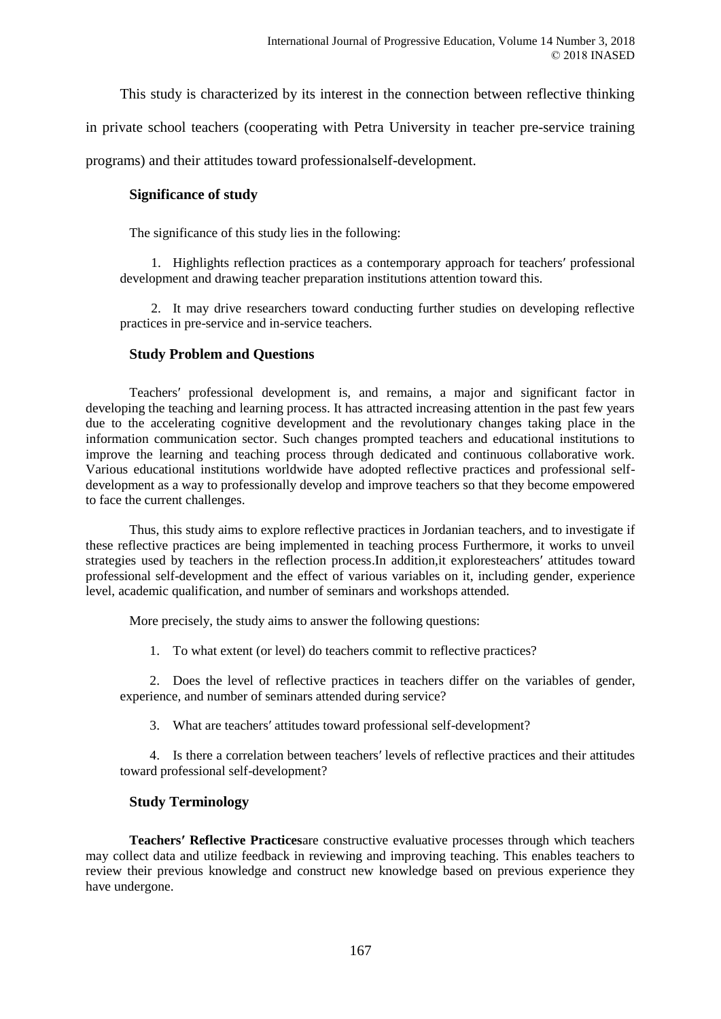This study is characterized by its interest in the connection between reflective thinking

in private school teachers (cooperating with Petra University in teacher pre-service training

programs) and their attitudes toward professionalself-development.

### **Significance of study**

The significance of this study lies in the following:

1. Highlights reflection practices as a contemporary approach for teachers′ professional development and drawing teacher preparation institutions attention toward this.

2. It may drive researchers toward conducting further studies on developing reflective practices in pre-service and in-service teachers.

### **Study Problem and Questions**

Teachers′ professional development is, and remains, a major and significant factor in developing the teaching and learning process. It has attracted increasing attention in the past few years due to the accelerating cognitive development and the revolutionary changes taking place in the information communication sector. Such changes prompted teachers and educational institutions to improve the learning and teaching process through dedicated and continuous collaborative work. Various educational institutions worldwide have adopted reflective practices and professional selfdevelopment as a way to professionally develop and improve teachers so that they become empowered to face the current challenges.

Thus, this study aims to explore reflective practices in Jordanian teachers, and to investigate if these reflective practices are being implemented in teaching process Furthermore, it works to unveil strategies used by teachers in the reflection process.In addition,it exploresteachers′ attitudes toward professional self-development and the effect of various variables on it, including gender, experience level, academic qualification, and number of seminars and workshops attended.

More precisely, the study aims to answer the following questions:

1. To what extent (or level) do teachers commit to reflective practices?

2. Does the level of reflective practices in teachers differ on the variables of gender, experience, and number of seminars attended during service?

3. What are teachers′ attitudes toward professional self-development?

4. Is there a correlation between teachers′ levels of reflective practices and their attitudes toward professional self-development?

### **Study Terminology**

**Teachers′ Reflective Practices**are constructive evaluative processes through which teachers may collect data and utilize feedback in reviewing and improving teaching. This enables teachers to review their previous knowledge and construct new knowledge based on previous experience they have undergone.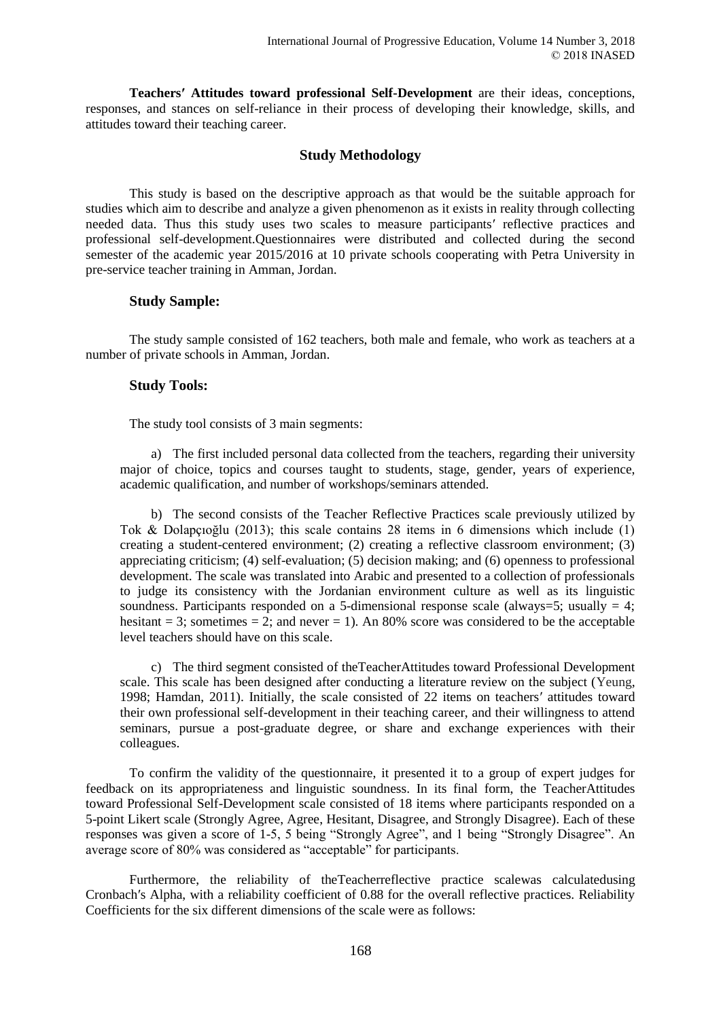**Teachers′ Attitudes toward professional Self-Development** are their ideas, conceptions, responses, and stances on self-reliance in their process of developing their knowledge, skills, and attitudes toward their teaching career.

## **Study Methodology**

This study is based on the descriptive approach as that would be the suitable approach for studies which aim to describe and analyze a given phenomenon as it exists in reality through collecting needed data. Thus this study uses two scales to measure participants′ reflective practices and professional self-development.Questionnaires were distributed and collected during the second semester of the academic year 2015/2016 at 10 private schools cooperating with Petra University in pre-service teacher training in Amman, Jordan.

### **Study Sample:**

The study sample consisted of 162 teachers, both male and female, who work as teachers at a number of private schools in Amman, Jordan.

### **Study Tools:**

The study tool consists of 3 main segments:

a) The first included personal data collected from the teachers, regarding their university major of choice, topics and courses taught to students, stage, gender, years of experience, academic qualification, and number of workshops/seminars attended.

b) The second consists of the Teacher Reflective Practices scale previously utilized by Tok & Dolapçıoğlu (2013); this scale contains 28 items in 6 dimensions which include (1) creating a student-centered environment; (2) creating a reflective classroom environment; (3) appreciating criticism; (4) self-evaluation; (5) decision making; and (6) openness to professional development. The scale was translated into Arabic and presented to a collection of professionals to judge its consistency with the Jordanian environment culture as well as its linguistic soundness. Participants responded on a 5-dimensional response scale (always=5; usually  $= 4$ ; hesitant  $= 3$ ; sometimes  $= 2$ ; and never  $= 1$ ). An 80% score was considered to be the acceptable level teachers should have on this scale.

c) The third segment consisted of theTeacherAttitudes toward Professional Development scale. This scale has been designed after conducting a literature review on the subject (Yeung, 1998; Hamdan, 2011). Initially, the scale consisted of 22 items on teachers′ attitudes toward their own professional self-development in their teaching career, and their willingness to attend seminars, pursue a post-graduate degree, or share and exchange experiences with their colleagues.

To confirm the validity of the questionnaire, it presented it to a group of expert judges for feedback on its appropriateness and linguistic soundness. In its final form, the TeacherAttitudes toward Professional Self-Development scale consisted of 18 items where participants responded on a 5-point Likert scale (Strongly Agree, Agree, Hesitant, Disagree, and Strongly Disagree). Each of these responses was given a score of 1-5, 5 being "Strongly Agree", and 1 being "Strongly Disagree". An average score of 80% was considered as "acceptable" for participants.

Furthermore, the reliability of theTeacherreflective practice scalewas calculatedusing Cronbach′s Alpha, with a reliability coefficient of 0.88 for the overall reflective practices. Reliability Coefficients for the six different dimensions of the scale were as follows: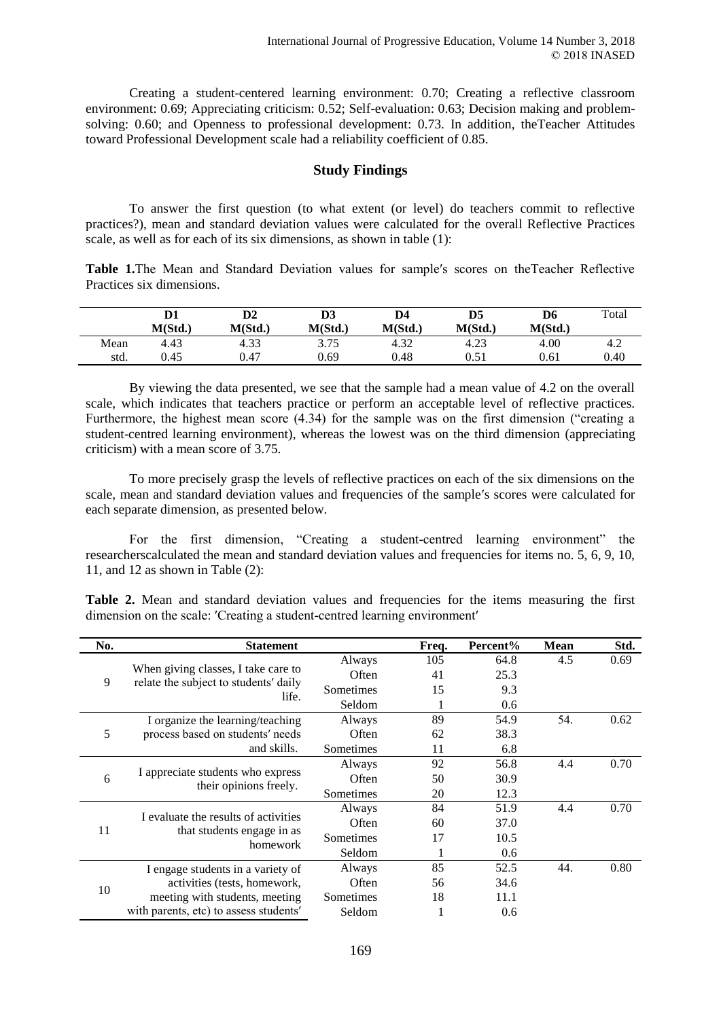Creating a student-centered learning environment: 0.70; Creating a reflective classroom environment: 0.69; Appreciating criticism: 0.52; Self-evaluation: 0.63; Decision making and problemsolving: 0.60; and Openness to professional development: 0.73. In addition, theTeacher Attitudes toward Professional Development scale had a reliability coefficient of 0.85.

#### **Study Findings**

To answer the first question (to what extent (or level) do teachers commit to reflective practices?), mean and standard deviation values were calculated for the overall Reflective Practices scale, as well as for each of its six dimensions, as shown in table (1):

**Table 1.**The Mean and Standard Deviation values for sample′s scores on theTeacher Reflective Practices six dimensions.

|      | D1<br>M(Std.) | D2<br>M(Std.) | D3<br>M(Std.) | D4<br>M(Std.) | D5<br>M(Std.) | D6<br>M(Std.) | Total |
|------|---------------|---------------|---------------|---------------|---------------|---------------|-------|
| Mean | 4.43          | 4.33          | 3.75          | 4.32          | 4.23          | 4.00          | 4.2   |
| std. | 0.45          | 0.47          | 0.69          | 0.48          | 0.51          | 0.61          | 0.40  |

By viewing the data presented, we see that the sample had a mean value of 4.2 on the overall scale, which indicates that teachers practice or perform an acceptable level of reflective practices. Furthermore, the highest mean score (4.34) for the sample was on the first dimension ("creating a student-centred learning environment), whereas the lowest was on the third dimension (appreciating criticism) with a mean score of 3.75.

To more precisely grasp the levels of reflective practices on each of the six dimensions on the scale, mean and standard deviation values and frequencies of the sample′s scores were calculated for each separate dimension, as presented below.

For the first dimension, "Creating a student-centred learning environment" the researcherscalculated the mean and standard deviation values and frequencies for items no. 5, 6, 9, 10, 11, and 12 as shown in Table (2):

Table 2. Mean and standard deviation values and frequencies for the items measuring the first dimension on the scale: 'Creating a student-centred learning environment'

| No. | <b>Statement</b>                                                             |               | Freq. | Percent% | <b>Mean</b> | Std. |
|-----|------------------------------------------------------------------------------|---------------|-------|----------|-------------|------|
|     |                                                                              | Always        | 105   | 64.8     | 4.5         | 0.69 |
| 9   | When giving classes, I take care to<br>relate the subject to students' daily | Often         | 41    | 25.3     |             |      |
|     | life.                                                                        | Sometimes     | 15    | 9.3      |             |      |
|     |                                                                              | Seldom        | 1     | 0.6      |             |      |
|     | I organize the learning/teaching                                             | Always        | 89    | 54.9     | 54.         | 0.62 |
| 5   | process based on students' needs                                             | Often         | 62    | 38.3     |             |      |
|     | and skills.                                                                  | Sometimes     | 11    | 6.8      |             |      |
|     |                                                                              | Always        | 92    | 56.8     | 4.4         | 0.70 |
| 6   | I appreciate students who express<br>their opinions freely.                  | Often         | 50    | 30.9     |             |      |
|     |                                                                              | Sometimes     | 20    | 12.3     |             |      |
|     | I evaluate the results of activities                                         | Always        | 84    | 51.9     | 4.4         | 0.70 |
| 11  |                                                                              | Often         | 60    | 37.0     |             |      |
|     | that students engage in as<br>homework                                       | Sometimes     | 17    | 10.5     |             |      |
|     |                                                                              | <b>Seldom</b> | 1     | 0.6      |             |      |
|     | I engage students in a variety of                                            | Always        | 85    | 52.5     | 44.         | 0.80 |
| 10  | activities (tests, homework,                                                 | Often         | 56    | 34.6     |             |      |
|     | meeting with students, meeting                                               | Sometimes     | 18    | 11.1     |             |      |
|     | with parents, etc) to assess students'                                       | Seldom        |       | 0.6      |             |      |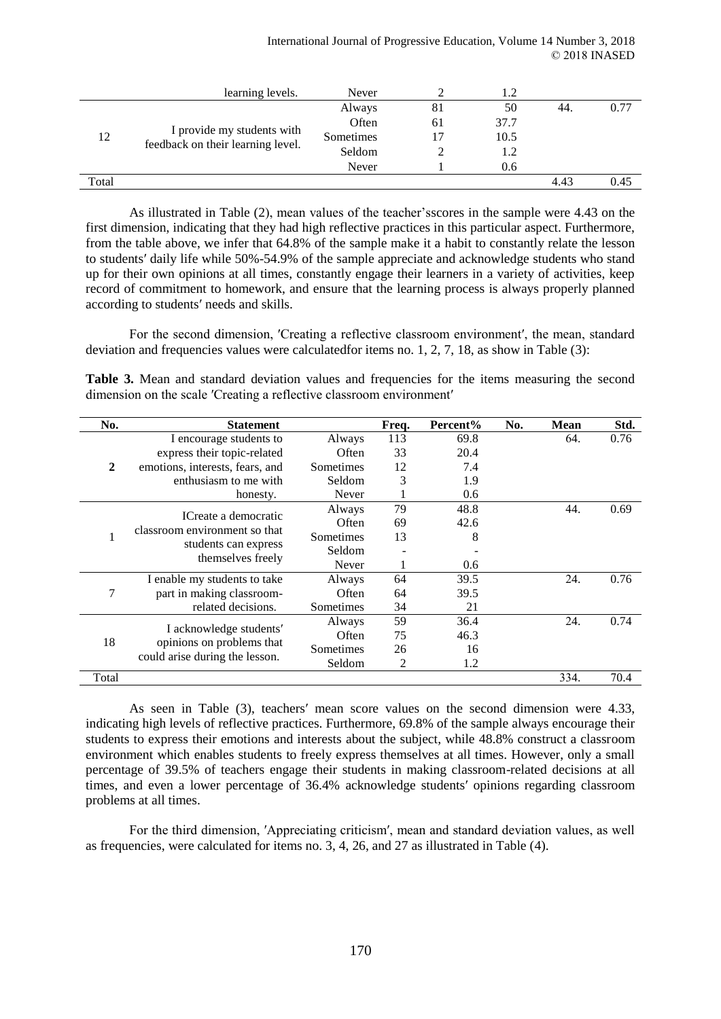|                                   | learning levels.           | Never     |     | 1.2  |      |      |
|-----------------------------------|----------------------------|-----------|-----|------|------|------|
|                                   |                            | Always    | 81  | 50   | -44. | 0.77 |
|                                   |                            | Often     | 61  | 37.7 |      |      |
| 12                                | I provide my students with | Sometimes | 17  | 10.5 |      |      |
| feedback on their learning level. | Seldom                     |           | 1.2 |      |      |      |
|                                   |                            | Never     |     | 0.6  |      |      |
| Total                             |                            |           |     |      | 4.43 | 0.45 |

As illustrated in Table (2), mean values of the teacher'sscores in the sample were 4.43 on the first dimension, indicating that they had high reflective practices in this particular aspect. Furthermore, from the table above, we infer that 64.8% of the sample make it a habit to constantly relate the lesson to students′ daily life while 50%-54.9% of the sample appreciate and acknowledge students who stand up for their own opinions at all times, constantly engage their learners in a variety of activities, keep record of commitment to homework, and ensure that the learning process is always properly planned according to students′ needs and skills.

For the second dimension, 'Creating a reflective classroom environment', the mean, standard deviation and frequencies values were calculatedfor items no. 1, 2, 7, 18, as show in Table (3):

**Table 3.** Mean and standard deviation values and frequencies for the items measuring the second dimension on the scale 'Creating a reflective classroom environment'

| No.                                                        | <b>Statement</b>                |           | Freq. | Percent% | No. | <b>Mean</b> | Std. |
|------------------------------------------------------------|---------------------------------|-----------|-------|----------|-----|-------------|------|
|                                                            | I encourage students to         | Always    | 113   | 69.8     |     | 64.         | 0.76 |
|                                                            | express their topic-related     | Often     | 33    | 20.4     |     |             |      |
| $\boldsymbol{2}$                                           | emotions, interests, fears, and | Sometimes | 12    | 7.4      |     |             |      |
|                                                            | enthusiasm to me with           | Seldom    | 3     | 1.9      |     |             |      |
|                                                            | honesty.                        | Never     |       | 0.6      |     |             |      |
|                                                            | ICreate a democratic            | Always    | 79    | 48.8     |     | 44.         | 0.69 |
|                                                            |                                 | Often     | 69    | 42.6     |     |             |      |
| classroom environment so that<br>1<br>students can express | Sometimes                       | 13        | 8     |          |     |             |      |
|                                                            |                                 | Seldom    |       |          |     |             |      |
|                                                            | themselves freely               | Never     |       | 0.6      |     |             |      |
|                                                            | I enable my students to take    | Always    | 64    | 39.5     |     | 24.         | 0.76 |
| 7                                                          | part in making classroom-       | Often     | 64    | 39.5     |     |             |      |
|                                                            | related decisions.              | Sometimes | 34    | 21       |     |             |      |
|                                                            |                                 | Always    | 59    | 36.4     |     | 24.         | 0.74 |
|                                                            | I acknowledge students'         | Often     | 75    | 46.3     |     |             |      |
| 18                                                         | opinions on problems that       | Sometimes | 26    | 16       |     |             |      |
|                                                            | could arise during the lesson.  | Seldom    | 2     | 1.2      |     |             |      |
| Total                                                      |                                 |           |       |          |     | 334.        | 70.4 |

As seen in Table (3), teachers′ mean score values on the second dimension were 4.33, indicating high levels of reflective practices. Furthermore, 69.8% of the sample always encourage their students to express their emotions and interests about the subject, while 48.8% construct a classroom environment which enables students to freely express themselves at all times. However, only a small percentage of 39.5% of teachers engage their students in making classroom-related decisions at all times, and even a lower percentage of 36.4% acknowledge students′ opinions regarding classroom problems at all times.

For the third dimension, ′Appreciating criticism′, mean and standard deviation values, as well as frequencies, were calculated for items no. 3, 4, 26, and 27 as illustrated in Table (4).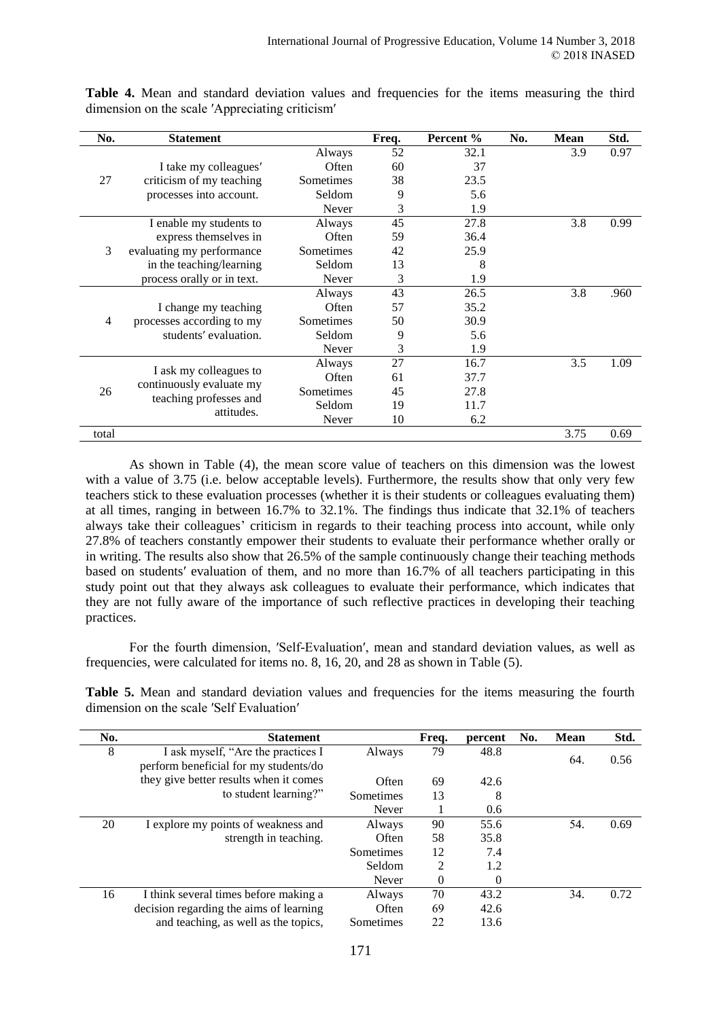| No.            | <b>Statement</b>           |           | Freq. | Percent % | No. | <b>Mean</b> | Std. |
|----------------|----------------------------|-----------|-------|-----------|-----|-------------|------|
|                |                            | Always    | 52    | 32.1      |     | 3.9         | 0.97 |
|                | I take my colleagues'      | Often     | 60    | 37        |     |             |      |
| 27             | criticism of my teaching   | Sometimes | 38    | 23.5      |     |             |      |
|                | processes into account.    | Seldom    | 9     | 5.6       |     |             |      |
|                |                            | Never     | 3     | 1.9       |     |             |      |
|                | I enable my students to    | Always    | 45    | 27.8      |     | 3.8         | 0.99 |
|                | express themselves in      | Often     | 59    | 36.4      |     |             |      |
| 3              | evaluating my performance  | Sometimes | 42    | 25.9      |     |             |      |
|                | in the teaching/learning   | Seldom    | 13    | 8         |     |             |      |
|                | process orally or in text. | Never     | 3     | 1.9       |     |             |      |
|                |                            | Always    | 43    | 26.5      |     | 3.8         | .960 |
|                | I change my teaching       | Often     | 57    | 35.2      |     |             |      |
| $\overline{4}$ | processes according to my  | Sometimes | 50    | 30.9      |     |             |      |
|                | students' evaluation.      | Seldom    | 9     | 5.6       |     |             |      |
|                |                            | Never     | 3     | 1.9       |     |             |      |
|                |                            | Always    | 27    | 16.7      |     | 3.5         | 1.09 |
|                | I ask my colleagues to     | Often     | 61    | 37.7      |     |             |      |
| 26             | continuously evaluate my   | Sometimes | 45    | 27.8      |     |             |      |
|                | teaching professes and     | Seldom    | 19    | 11.7      |     |             |      |
|                | attitudes.                 | Never     | 10    | 6.2       |     |             |      |
| total          |                            |           |       |           |     | 3.75        | 0.69 |

Table 4. Mean and standard deviation values and frequencies for the items measuring the third dimension on the scale ′Appreciating criticism′

As shown in Table (4), the mean score value of teachers on this dimension was the lowest with a value of 3.75 (i.e. below acceptable levels). Furthermore, the results show that only very few teachers stick to these evaluation processes (whether it is their students or colleagues evaluating them) at all times, ranging in between 16.7% to 32.1%. The findings thus indicate that 32.1% of teachers always take their colleagues' criticism in regards to their teaching process into account, while only 27.8% of teachers constantly empower their students to evaluate their performance whether orally or in writing. The results also show that 26.5% of the sample continuously change their teaching methods based on students′ evaluation of them, and no more than 16.7% of all teachers participating in this study point out that they always ask colleagues to evaluate their performance, which indicates that they are not fully aware of the importance of such reflective practices in developing their teaching practices.

For the fourth dimension, ′Self-Evaluation′, mean and standard deviation values, as well as frequencies, were calculated for items no. 8, 16, 20, and 28 as shown in Table (5).

**Table 5.** Mean and standard deviation values and frequencies for the items measuring the fourth dimension on the scale ′Self Evaluation′

| No. | <b>Statement</b>                                                            |           | Freq. | percent  | No. | Mean | Std. |
|-----|-----------------------------------------------------------------------------|-----------|-------|----------|-----|------|------|
| 8   | I ask myself, "Are the practices I<br>perform beneficial for my students/do | Always    | 79    | 48.8     |     | 64.  | 0.56 |
|     | they give better results when it comes                                      | Often     | 69    | 42.6     |     |      |      |
|     | to student learning?"                                                       | Sometimes | 13    | 8        |     |      |      |
|     |                                                                             | Never     |       | 0.6      |     |      |      |
| 20  | I explore my points of weakness and                                         | Always    | 90    | 55.6     |     | 54.  | 0.69 |
|     | strength in teaching.                                                       | Often     | 58    | 35.8     |     |      |      |
|     |                                                                             | Sometimes | 12    | 7.4      |     |      |      |
|     |                                                                             | Seldom    | 2     | 1.2      |     |      |      |
|     |                                                                             | Never     | 0     | $\Omega$ |     |      |      |
| 16  | I think several times before making a                                       | Always    | 70    | 43.2     |     | 34.  | 0.72 |
|     | decision regarding the aims of learning                                     | Often     | 69    | 42.6     |     |      |      |
|     | and teaching, as well as the topics,                                        | Sometimes | 22    | 13.6     |     |      |      |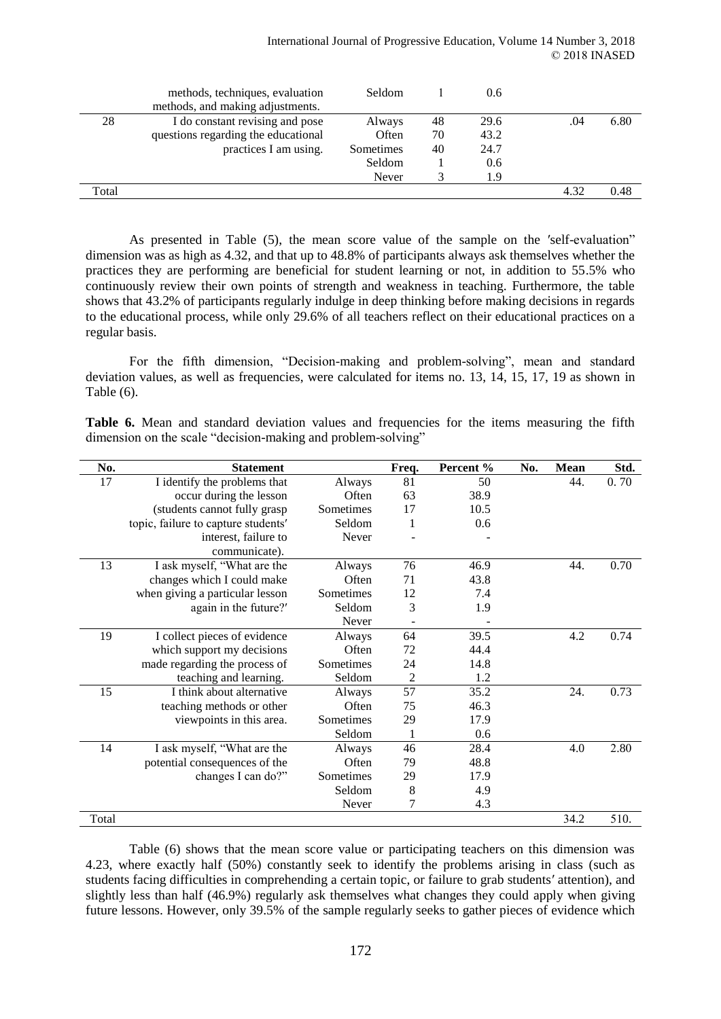|       | methods, techniques, evaluation     | <b>Seldom</b> |    | 0.6  |      |      |
|-------|-------------------------------------|---------------|----|------|------|------|
|       | methods, and making adjustments.    |               |    |      |      |      |
| 28    | I do constant revising and pose     | Always        | 48 | 29.6 | .04  | 6.80 |
|       | questions regarding the educational | Often         | 70 | 43.2 |      |      |
|       | practices I am using.               | Sometimes     | 40 | 24.7 |      |      |
|       |                                     | Seldom        |    | 0.6  |      |      |
|       |                                     | Never         |    | 1.9  |      |      |
| Total |                                     |               |    |      | 4.32 | 0.48 |
|       |                                     |               |    |      |      |      |

As presented in Table (5), the mean score value of the sample on the 'self-evaluation" dimension was as high as 4.32, and that up to 48.8% of participants always ask themselves whether the practices they are performing are beneficial for student learning or not, in addition to 55.5% who continuously review their own points of strength and weakness in teaching. Furthermore, the table shows that 43.2% of participants regularly indulge in deep thinking before making decisions in regards to the educational process, while only 29.6% of all teachers reflect on their educational practices on a regular basis.

For the fifth dimension, "Decision-making and problem-solving", mean and standard deviation values, as well as frequencies, were calculated for items no. 13, 14, 15, 17, 19 as shown in Table (6).

Table 6. Mean and standard deviation values and frequencies for the items measuring the fifth dimension on the scale "decision-making and problem-solving"

| No.   | <b>Statement</b>                    |           | Freq.          | Percent % | No. | <b>Mean</b> | Std. |
|-------|-------------------------------------|-----------|----------------|-----------|-----|-------------|------|
| 17    | I identify the problems that        | Always    | 81             | 50        |     | 44.         | 0.70 |
|       | occur during the lesson             | Often     | 63             | 38.9      |     |             |      |
|       | (students cannot fully grasp        | Sometimes | 17             | 10.5      |     |             |      |
|       | topic, failure to capture students' | Seldom    | 1              | 0.6       |     |             |      |
|       | interest, failure to                | Never     |                |           |     |             |      |
|       | communicate).                       |           |                |           |     |             |      |
| 13    | I ask myself, "What are the         | Always    | 76             | 46.9      |     | 44.         | 0.70 |
|       | changes which I could make          | Often     | 71             | 43.8      |     |             |      |
|       | when giving a particular lesson     | Sometimes | 12             | 7.4       |     |             |      |
|       | again in the future?'               | Seldom    | 3              | 1.9       |     |             |      |
|       |                                     | Never     |                |           |     |             |      |
| 19    | I collect pieces of evidence        | Always    | 64             | 39.5      |     | 4.2         | 0.74 |
|       | which support my decisions          | Often     | 72             | 44.4      |     |             |      |
|       | made regarding the process of       | Sometimes | 24             | 14.8      |     |             |      |
|       | teaching and learning.              | Seldom    | $\overline{2}$ | 1.2       |     |             |      |
| 15    | I think about alternative           | Always    | 57             | 35.2      |     | 24.         | 0.73 |
|       | teaching methods or other           | Often     | 75             | 46.3      |     |             |      |
|       | viewpoints in this area.            | Sometimes | 29             | 17.9      |     |             |      |
|       |                                     | Seldom    | 1              | 0.6       |     |             |      |
| 14    | I ask myself, "What are the         | Always    | 46             | 28.4      |     | 4.0         | 2.80 |
|       | potential consequences of the       | Often     | 79             | 48.8      |     |             |      |
|       | changes I can do?"                  | Sometimes | 29             | 17.9      |     |             |      |
|       |                                     | Seldom    | 8              | 4.9       |     |             |      |
|       |                                     | Never     | 7              | 4.3       |     |             |      |
| Total |                                     |           |                |           |     | 34.2        | 510. |

Table (6) shows that the mean score value or participating teachers on this dimension was 4.23, where exactly half (50%) constantly seek to identify the problems arising in class (such as students facing difficulties in comprehending a certain topic, or failure to grab students′ attention), and slightly less than half (46.9%) regularly ask themselves what changes they could apply when giving future lessons. However, only 39.5% of the sample regularly seeks to gather pieces of evidence which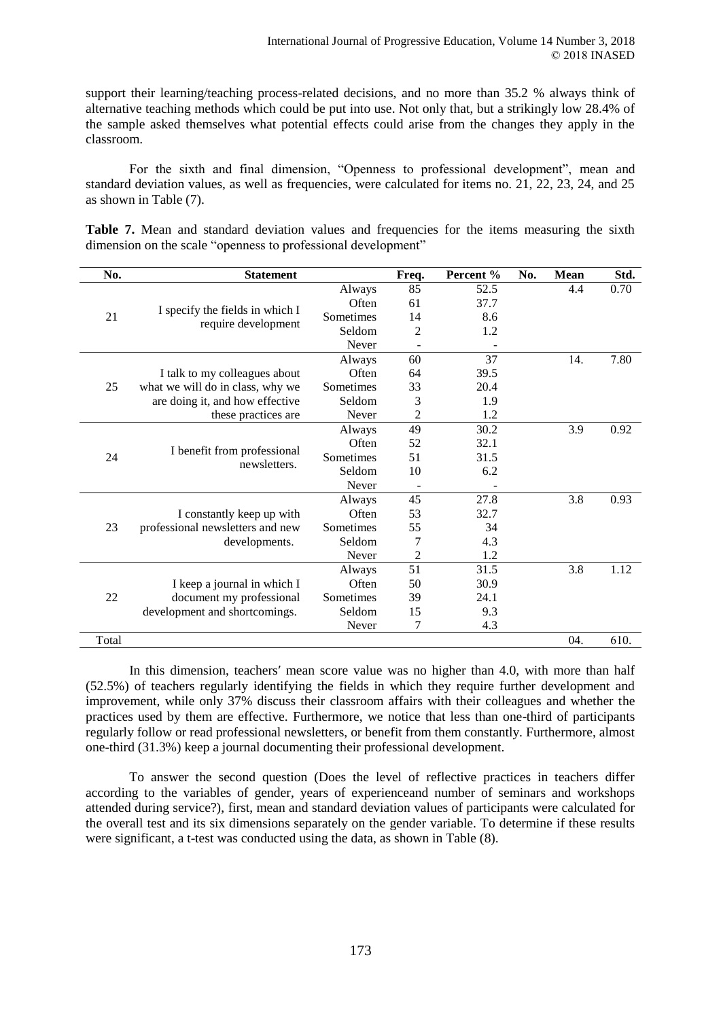support their learning/teaching process-related decisions, and no more than 35.2 % always think of alternative teaching methods which could be put into use. Not only that, but a strikingly low 28.4% of the sample asked themselves what potential effects could arise from the changes they apply in the classroom.

For the sixth and final dimension, "Openness to professional development", mean and standard deviation values, as well as frequencies, were calculated for items no. 21, 22, 23, 24, and 25 as shown in Table (7).

Table 7. Mean and standard deviation values and frequencies for the items measuring the sixth dimension on the scale "openness to professional development"

| No.   | <b>Statement</b>                            |           | Freq.          | Percent % | No. | Mean | Std. |
|-------|---------------------------------------------|-----------|----------------|-----------|-----|------|------|
|       |                                             | Always    | 85             | 52.5      |     | 4.4  | 0.70 |
|       |                                             | Often     | 61             | 37.7      |     |      |      |
| 21    | I specify the fields in which I             | Sometimes | 14             | 8.6       |     |      |      |
|       | require development                         | Seldom    | 2              | 1.2       |     |      |      |
|       |                                             | Never     |                |           |     |      |      |
|       |                                             | Always    | 60             | 37        |     | 14.  | 7.80 |
|       | I talk to my colleagues about               | Often     | 64             | 39.5      |     |      |      |
| 25    | what we will do in class, why we            | Sometimes | 33             | 20.4      |     |      |      |
|       | are doing it, and how effective             | Seldom    | 3              | 1.9       |     |      |      |
|       | these practices are                         | Never     | 2              | 1.2       |     |      |      |
|       |                                             | Always    | 49             | 30.2      |     | 3.9  | 0.92 |
|       |                                             | Often     | 52             | 32.1      |     |      |      |
| 24    | I benefit from professional<br>newsletters. | Sometimes | 51             | 31.5      |     |      |      |
|       |                                             | Seldom    | 10             | 6.2       |     |      |      |
|       |                                             | Never     |                |           |     |      |      |
|       |                                             | Always    | 45             | 27.8      |     | 3.8  | 0.93 |
|       | I constantly keep up with                   | Often     | 53             | 32.7      |     |      |      |
| 23    | professional newsletters and new            | Sometimes | 55             | 34        |     |      |      |
|       | developments.                               | Seldom    | 7              | 4.3       |     |      |      |
|       |                                             | Never     | $\overline{2}$ | 1.2       |     |      |      |
|       |                                             | Always    | 51             | 31.5      |     | 3.8  | 1.12 |
|       | I keep a journal in which I                 | Often     | 50             | 30.9      |     |      |      |
| 22    | document my professional                    | Sometimes | 39             | 24.1      |     |      |      |
|       | development and shortcomings.               | Seldom    | 15             | 9.3       |     |      |      |
|       |                                             | Never     | 7              | 4.3       |     |      |      |
| Total |                                             |           |                |           |     | 04.  | 610. |

In this dimension, teachers′ mean score value was no higher than 4.0, with more than half (52.5%) of teachers regularly identifying the fields in which they require further development and improvement, while only 37% discuss their classroom affairs with their colleagues and whether the practices used by them are effective. Furthermore, we notice that less than one-third of participants regularly follow or read professional newsletters, or benefit from them constantly. Furthermore, almost one-third (31.3%) keep a journal documenting their professional development.

To answer the second question (Does the level of reflective practices in teachers differ according to the variables of gender, years of experienceand number of seminars and workshops attended during service?), first, mean and standard deviation values of participants were calculated for the overall test and its six dimensions separately on the gender variable. To determine if these results were significant, a t-test was conducted using the data, as shown in Table (8).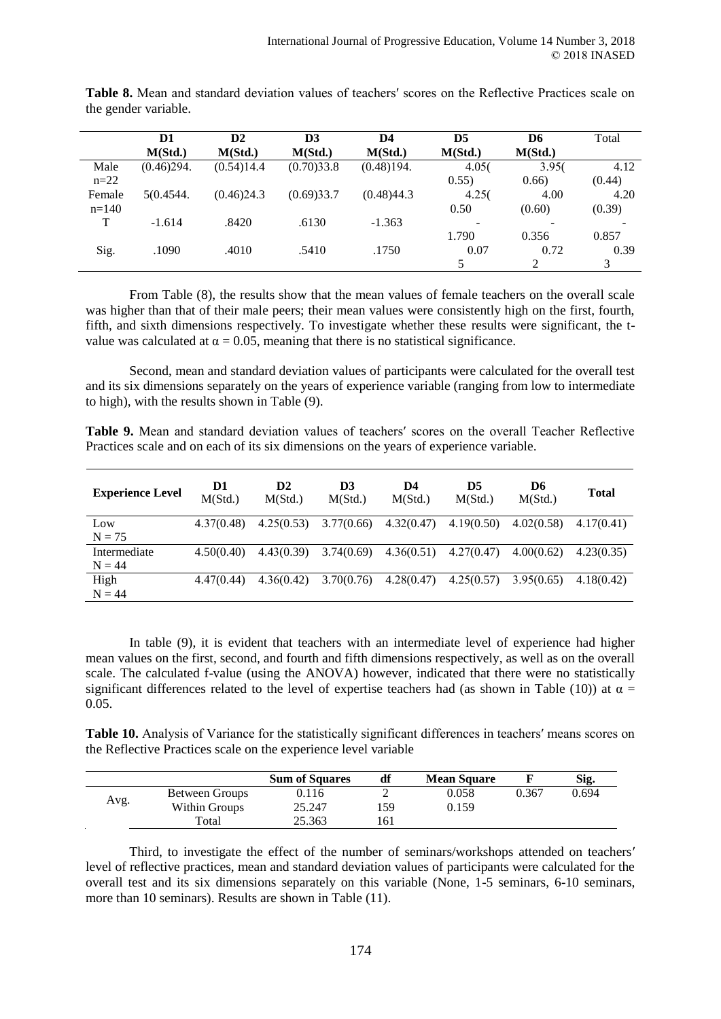|         | D1         | $\mathbf{D2}$ | D <sub>3</sub> | D4         | D5      | D6             | Total  |
|---------|------------|---------------|----------------|------------|---------|----------------|--------|
|         | M(Std.)    | M(Std.)       | M(Std.)        | M(Std.)    | M(Std.) | M(Std.)        |        |
| Male    | (0.46)294. | (0.54)14.4    | (0.70)33.8     | (0.48)194. | 4.05(   | 3.95(          | 4.12   |
| $n=22$  |            |               |                |            | 0.55)   | 0.66)          | (0.44) |
| Female  | 5(0.4544)  | (0.46)24.3    | (0.69)33.7     | (0.48)44.3 | 4.25(   | 4.00           | 4.20   |
| $n=140$ |            |               |                |            | 0.50    | (0.60)         | (0.39) |
| т       | $-1.614$   | .8420         | .6130          | $-1.363$   |         |                |        |
|         |            |               |                |            | 1.790   | 0.356          | 0.857  |
| Sig.    | .1090      | .4010         | .5410          | .1750      | 0.07    | 0.72           | 0.39   |
|         |            |               |                |            | 5       | $\mathfrak{D}$ | 3      |

**Table 8.** Mean and standard deviation values of teachers′ scores on the Reflective Practices scale on the gender variable.

From Table (8), the results show that the mean values of female teachers on the overall scale was higher than that of their male peers; their mean values were consistently high on the first, fourth, fifth, and sixth dimensions respectively. To investigate whether these results were significant, the tvalue was calculated at  $\alpha = 0.05$ , meaning that there is no statistical significance.

Second, mean and standard deviation values of participants were calculated for the overall test and its six dimensions separately on the years of experience variable (ranging from low to intermediate to high), with the results shown in Table (9).

**Table 9.** Mean and standard deviation values of teachers′ scores on the overall Teacher Reflective Practices scale and on each of its six dimensions on the years of experience variable.

| <b>Experience Level</b> | D1<br>M(Std.) | D2<br>M(Std.) | D3<br>M(Std.) | D4<br>M(Std.) | D5<br>M(Std.) | D6<br>M(Std.) | <b>Total</b> |
|-------------------------|---------------|---------------|---------------|---------------|---------------|---------------|--------------|
| Low                     | 4.37(0.48)    | 4.25(0.53)    | 3.77(0.66)    | 4.32(0.47)    | 4.19(0.50)    | 4.02(0.58)    | 4.17(0.41)   |
| $N = 75$                |               |               |               |               |               |               |              |
| Intermediate            | 4.50(0.40)    | 4.43(0.39)    | 3.74(0.69)    | 4.36(0.51)    | 4.27(0.47)    | 4.00(0.62)    | 4.23(0.35)   |
| $N = 44$                |               |               |               |               |               |               |              |
| High                    | 4.47(0.44)    | 4.36(0.42)    | 3.70(0.76)    | 4.28(0.47)    | 4.25(0.57)    | 3.95(0.65)    | 4.18(0.42)   |
| $N = 44$                |               |               |               |               |               |               |              |

In table (9), it is evident that teachers with an intermediate level of experience had higher mean values on the first, second, and fourth and fifth dimensions respectively, as well as on the overall scale. The calculated f-value (using the ANOVA) however, indicated that there were no statistically significant differences related to the level of expertise teachers had (as shown in Table (10)) at  $\alpha$  = 0.05.

**Table 10.** Analysis of Variance for the statistically significant differences in teachers′ means scores on the Reflective Practices scale on the experience level variable

|      |                | <b>Sum of Squares</b> | df  | <b>Mean Square</b> |       | Sig.  |
|------|----------------|-----------------------|-----|--------------------|-------|-------|
|      | Between Groups | 0.116                 |     | 0.058              | 0.367 | 0.694 |
| Avg. | Within Groups  | 25.247                | 159 | 0.159              |       |       |
|      | Total          | 25.363                | 161 |                    |       |       |

Third, to investigate the effect of the number of seminars/workshops attended on teachers′ level of reflective practices, mean and standard deviation values of participants were calculated for the overall test and its six dimensions separately on this variable (None, 1-5 seminars, 6-10 seminars, more than 10 seminars). Results are shown in Table (11).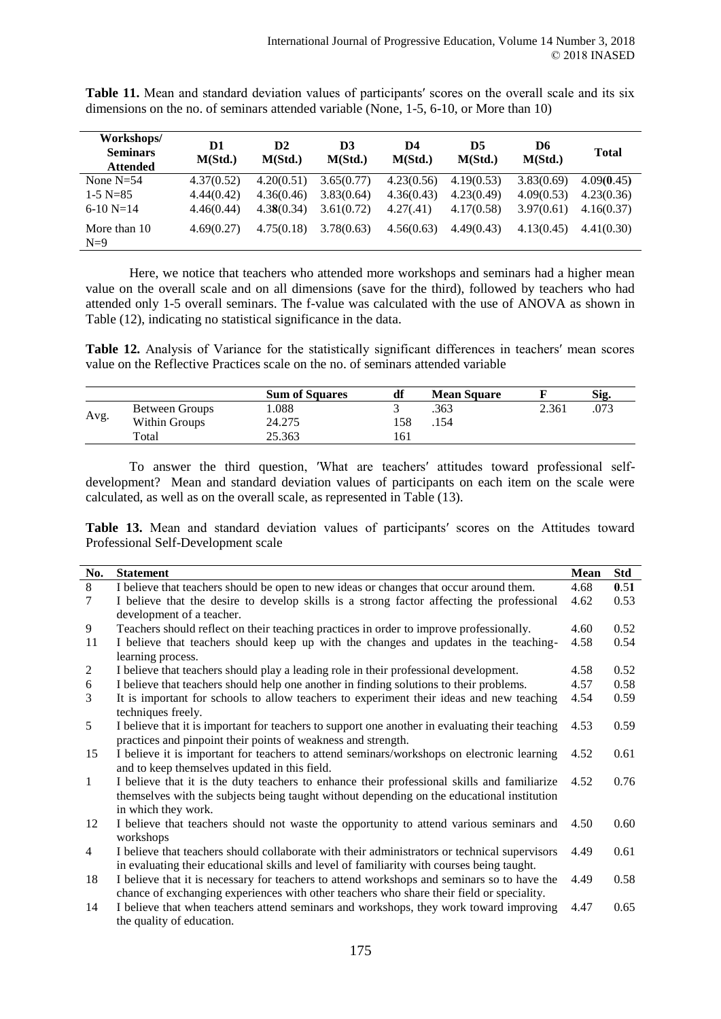| Workshops/<br><b>Seminars</b><br><b>Attended</b> | D1<br>M(Std.) | D2<br>M(Std.) | D <sub>3</sub><br>M(Std.) | D4<br>M(Std.) | D5<br>M(Std.) | D6<br>M(Std.) | <b>Total</b> |
|--------------------------------------------------|---------------|---------------|---------------------------|---------------|---------------|---------------|--------------|
| None $N=54$                                      | 4.37(0.52)    | 4.20(0.51)    | 3.65(0.77)                | 4.23(0.56)    | 4.19(0.53)    | 3.83(0.69)    | 4.09(0.45)   |
| $1-5$ N=85                                       | 4.44(0.42)    | 4.36(0.46)    | 3.83(0.64)                | 4.36(0.43)    | 4.23(0.49)    | 4.09(0.53)    | 4.23(0.36)   |
| $6-10 N=14$                                      | 4.46(0.44)    | 4.38(0.34)    | 3.61(0.72)                | 4.27(.41)     | 4.17(0.58)    | 3.97(0.61)    | 4.16(0.37)   |
| More than 10<br>$N=9$                            | 4.69(0.27)    | 4.75(0.18)    | 3.78(0.63)                | 4.56(0.63)    | 4.49(0.43)    | 4.13(0.45)    | 4.41(0.30)   |

**Table 11.** Mean and standard deviation values of participants′ scores on the overall scale and its six dimensions on the no. of seminars attended variable (None, 1-5, 6-10, or More than 10)

Here, we notice that teachers who attended more workshops and seminars had a higher mean value on the overall scale and on all dimensions (save for the third), followed by teachers who had attended only 1-5 overall seminars. The f-value was calculated with the use of ANOVA as shown in Table (12), indicating no statistical significance in the data.

**Table 12.** Analysis of Variance for the statistically significant differences in teachers′ mean scores value on the Reflective Practices scale on the no. of seminars attended variable

|      |                | <b>Sum of Squares</b> | df  | <b>Mean Square</b> |       | Sig. |
|------|----------------|-----------------------|-----|--------------------|-------|------|
|      | Between Groups | 0.088                 |     | .363               | 2.361 | .073 |
| Avg. | Within Groups  | 24.275                | 58  | .154               |       |      |
|      | Total          | 25.363                | -61 |                    |       |      |

To answer the third question, ′What are teachers′ attitudes toward professional selfdevelopment? Mean and standard deviation values of participants on each item on the scale were calculated, as well as on the overall scale, as represented in Table (13).

Table 13. Mean and standard deviation values of participants' scores on the Attitudes toward Professional Self-Development scale

| No.            | <b>Statement</b>                                                                                | Mean | Std  |
|----------------|-------------------------------------------------------------------------------------------------|------|------|
| 8              | I believe that teachers should be open to new ideas or changes that occur around them.          | 4.68 | 0.51 |
| 7              | I believe that the desire to develop skills is a strong factor affecting the professional       | 4.62 | 0.53 |
|                | development of a teacher.                                                                       |      |      |
| 9              | Teachers should reflect on their teaching practices in order to improve professionally.         | 4.60 | 0.52 |
| 11             | I believe that teachers should keep up with the changes and updates in the teaching-            | 4.58 | 0.54 |
|                | learning process.                                                                               |      |      |
| 2              | I believe that teachers should play a leading role in their professional development.           | 4.58 | 0.52 |
| 6              | I believe that teachers should help one another in finding solutions to their problems.         | 4.57 | 0.58 |
| 3              | It is important for schools to allow teachers to experiment their ideas and new teaching        | 4.54 | 0.59 |
|                | techniques freely.                                                                              |      |      |
| 5              | I believe that it is important for teachers to support one another in evaluating their teaching | 4.53 | 0.59 |
|                | practices and pinpoint their points of weakness and strength.                                   |      |      |
| 15             | I believe it is important for teachers to attend seminars/workshops on electronic learning      | 4.52 | 0.61 |
|                | and to keep themselves updated in this field.                                                   |      |      |
| $\mathbf{1}$   | I believe that it is the duty teachers to enhance their professional skills and familiarize     | 4.52 | 0.76 |
|                | themselves with the subjects being taught without depending on the educational institution      |      |      |
|                | in which they work.                                                                             |      |      |
| 12             | I believe that teachers should not waste the opportunity to attend various seminars and         | 4.50 | 0.60 |
|                | workshops                                                                                       |      |      |
| $\overline{4}$ | I believe that teachers should collaborate with their administrators or technical supervisors   | 4.49 | 0.61 |
|                | in evaluating their educational skills and level of familiarity with courses being taught.      |      |      |
| 18             | I believe that it is necessary for teachers to attend workshops and seminars so to have the     | 4.49 | 0.58 |
|                | chance of exchanging experiences with other teachers who share their field or speciality.       |      |      |
| 14             | I believe that when teachers attend seminars and workshops, they work toward improving          | 4.47 | 0.65 |
|                | the quality of education.                                                                       |      |      |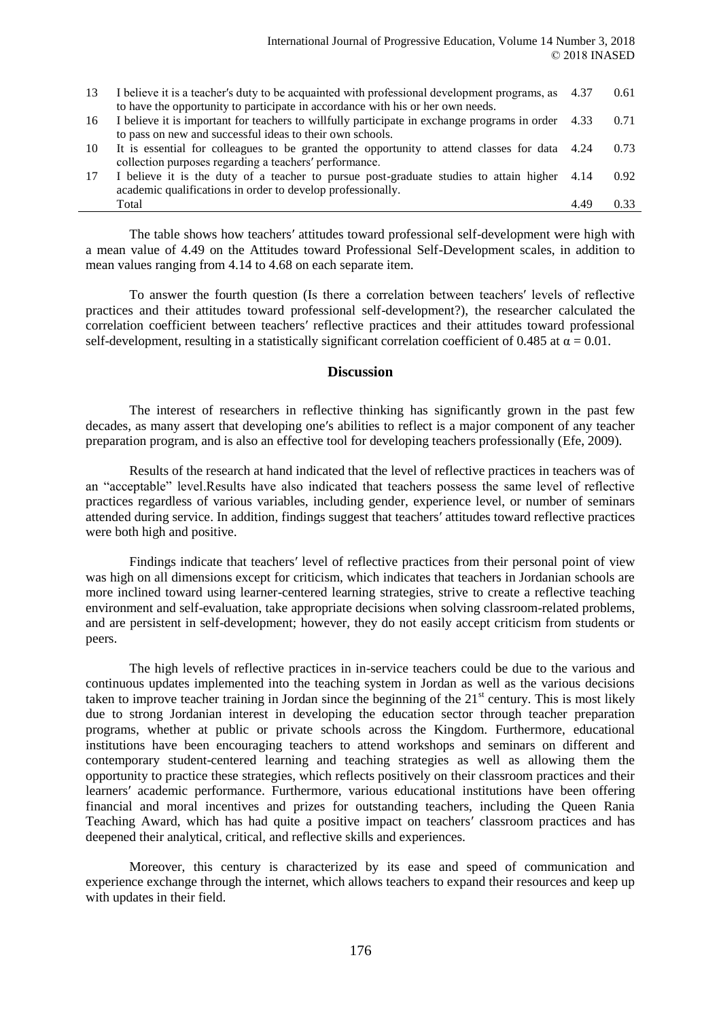| 13 | I believe it is a teacher's duty to be acquainted with professional development programs, as 4.37<br>to have the opportunity to participate in accordance with his or her own needs. |      | 0.61 |
|----|--------------------------------------------------------------------------------------------------------------------------------------------------------------------------------------|------|------|
| 16 | I believe it is important for teachers to willfully participate in exchange programs in order 4.33                                                                                   |      | 0.71 |
|    | to pass on new and successful ideas to their own schools.                                                                                                                            |      |      |
| 10 | It is essential for colleagues to be granted the opportunity to attend classes for data 4.24                                                                                         |      | 0.73 |
|    | collection purposes regarding a teachers' performance.                                                                                                                               |      |      |
| 17 | I believe it is the duty of a teacher to pursue post-graduate studies to attain higher 4.14<br>academic qualifications in order to develop professionally.                           |      | 0.92 |
|    | Total                                                                                                                                                                                | 4.49 |      |
|    |                                                                                                                                                                                      |      |      |

The table shows how teachers′ attitudes toward professional self-development were high with a mean value of 4.49 on the Attitudes toward Professional Self-Development scales, in addition to mean values ranging from 4.14 to 4.68 on each separate item.

To answer the fourth question (Is there a correlation between teachers′ levels of reflective practices and their attitudes toward professional self-development?), the researcher calculated the correlation coefficient between teachers′ reflective practices and their attitudes toward professional self-development, resulting in a statistically significant correlation coefficient of 0.485 at  $\alpha = 0.01$ .

#### **Discussion**

The interest of researchers in reflective thinking has significantly grown in the past few decades, as many assert that developing one′s abilities to reflect is a major component of any teacher preparation program, and is also an effective tool for developing teachers professionally (Efe, 2009).

Results of the research at hand indicated that the level of reflective practices in teachers was of an "acceptable" level.Results have also indicated that teachers possess the same level of reflective practices regardless of various variables, including gender, experience level, or number of seminars attended during service. In addition, findings suggest that teachers′ attitudes toward reflective practices were both high and positive.

Findings indicate that teachers′ level of reflective practices from their personal point of view was high on all dimensions except for criticism, which indicates that teachers in Jordanian schools are more inclined toward using learner-centered learning strategies, strive to create a reflective teaching environment and self-evaluation, take appropriate decisions when solving classroom-related problems, and are persistent in self-development; however, they do not easily accept criticism from students or peers.

The high levels of reflective practices in in-service teachers could be due to the various and continuous updates implemented into the teaching system in Jordan as well as the various decisions taken to improve teacher training in Jordan since the beginning of the  $21<sup>st</sup>$  century. This is most likely due to strong Jordanian interest in developing the education sector through teacher preparation programs, whether at public or private schools across the Kingdom. Furthermore, educational institutions have been encouraging teachers to attend workshops and seminars on different and contemporary student-centered learning and teaching strategies as well as allowing them the opportunity to practice these strategies, which reflects positively on their classroom practices and their learners′ academic performance. Furthermore, various educational institutions have been offering financial and moral incentives and prizes for outstanding teachers, including the Queen Rania Teaching Award, which has had quite a positive impact on teachers′ classroom practices and has deepened their analytical, critical, and reflective skills and experiences.

Moreover, this century is characterized by its ease and speed of communication and experience exchange through the internet, which allows teachers to expand their resources and keep up with updates in their field.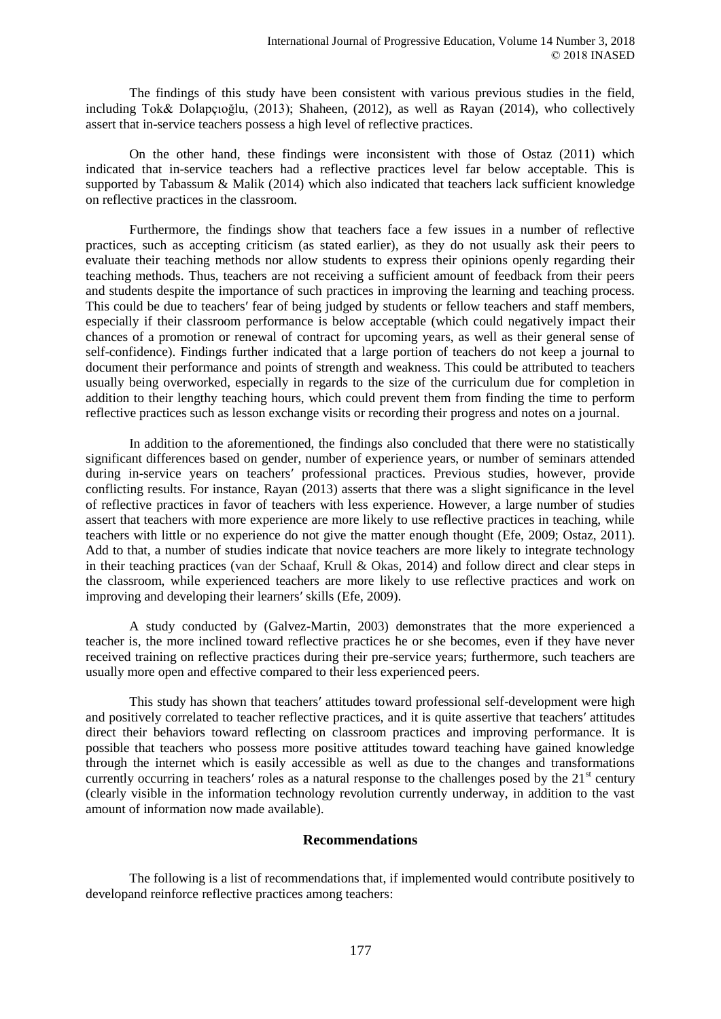The findings of this study have been consistent with various previous studies in the field, including Tok& Dolapçıoğlu, (2013); Shaheen, (2012), as well as Rayan (2014), who collectively assert that in-service teachers possess a high level of reflective practices.

On the other hand, these findings were inconsistent with those of Ostaz (2011) which indicated that in-service teachers had a reflective practices level far below acceptable. This is supported by Tabassum & Malik (2014) which also indicated that teachers lack sufficient knowledge on reflective practices in the classroom.

Furthermore, the findings show that teachers face a few issues in a number of reflective practices, such as accepting criticism (as stated earlier), as they do not usually ask their peers to evaluate their teaching methods nor allow students to express their opinions openly regarding their teaching methods. Thus, teachers are not receiving a sufficient amount of feedback from their peers and students despite the importance of such practices in improving the learning and teaching process. This could be due to teachers′ fear of being judged by students or fellow teachers and staff members, especially if their classroom performance is below acceptable (which could negatively impact their chances of a promotion or renewal of contract for upcoming years, as well as their general sense of self-confidence). Findings further indicated that a large portion of teachers do not keep a journal to document their performance and points of strength and weakness. This could be attributed to teachers usually being overworked, especially in regards to the size of the curriculum due for completion in addition to their lengthy teaching hours, which could prevent them from finding the time to perform reflective practices such as lesson exchange visits or recording their progress and notes on a journal.

In addition to the aforementioned, the findings also concluded that there were no statistically significant differences based on gender, number of experience years, or number of seminars attended during in-service years on teachers′ professional practices. Previous studies, however, provide conflicting results. For instance, Rayan (2013) asserts that there was a slight significance in the level of reflective practices in favor of teachers with less experience. However, a large number of studies assert that teachers with more experience are more likely to use reflective practices in teaching, while teachers with little or no experience do not give the matter enough thought (Efe, 2009; Ostaz, 2011). Add to that, a number of studies indicate that novice teachers are more likely to integrate technology in their teaching practices (van der Schaaf, Krull & Okas, 2014) and follow direct and clear steps in the classroom, while experienced teachers are more likely to use reflective practices and work on improving and developing their learners′ skills (Efe, 2009).

A study conducted by (Galvez-Martin, 2003) demonstrates that the more experienced a teacher is, the more inclined toward reflective practices he or she becomes, even if they have never received training on reflective practices during their pre-service years; furthermore, such teachers are usually more open and effective compared to their less experienced peers.

This study has shown that teachers′ attitudes toward professional self-development were high and positively correlated to teacher reflective practices, and it is quite assertive that teachers′ attitudes direct their behaviors toward reflecting on classroom practices and improving performance. It is possible that teachers who possess more positive attitudes toward teaching have gained knowledge through the internet which is easily accessible as well as due to the changes and transformations currently occurring in teachers' roles as a natural response to the challenges posed by the  $21<sup>st</sup>$  century (clearly visible in the information technology revolution currently underway, in addition to the vast amount of information now made available).

### **Recommendations**

The following is a list of recommendations that, if implemented would contribute positively to developand reinforce reflective practices among teachers: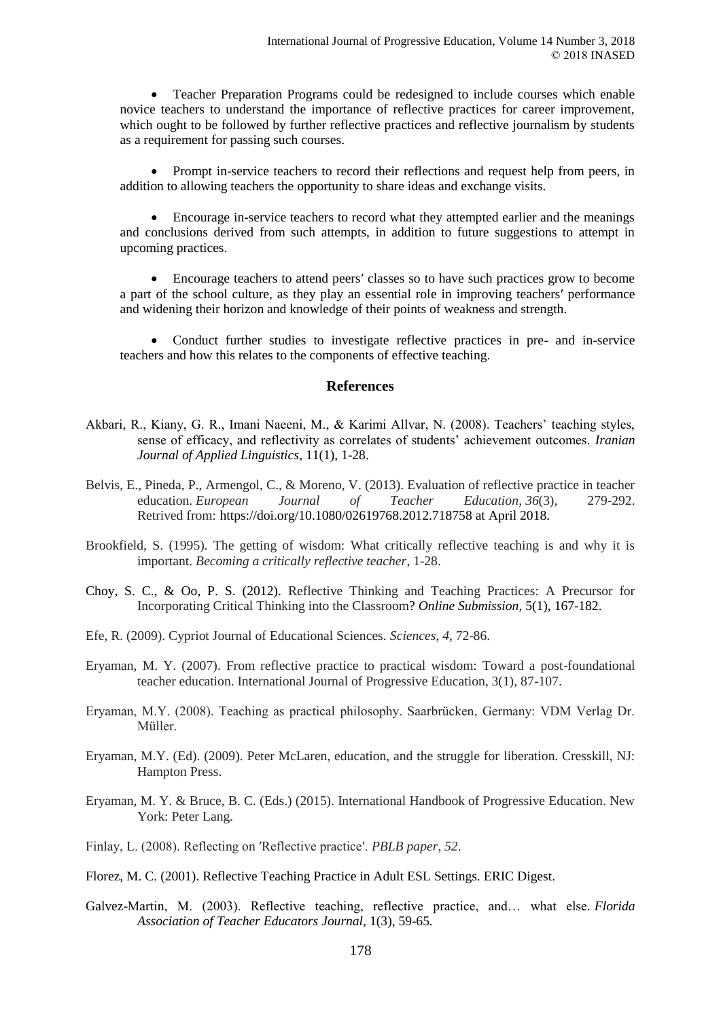Teacher Preparation Programs could be redesigned to include courses which enable novice teachers to understand the importance of reflective practices for career improvement, which ought to be followed by further reflective practices and reflective journalism by students as a requirement for passing such courses.

 Prompt in-service teachers to record their reflections and request help from peers, in addition to allowing teachers the opportunity to share ideas and exchange visits.

 Encourage in-service teachers to record what they attempted earlier and the meanings and conclusions derived from such attempts, in addition to future suggestions to attempt in upcoming practices.

 Encourage teachers to attend peers′ classes so to have such practices grow to become a part of the school culture, as they play an essential role in improving teachers′ performance and widening their horizon and knowledge of their points of weakness and strength.

 Conduct further studies to investigate reflective practices in pre- and in-service teachers and how this relates to the components of effective teaching.

#### **References**

- Akbari, R., Kiany, G. R., Imani Naeeni, M., & Karimi Allvar, N. (2008). Teachers' teaching styles, sense of efficacy, and reflectivity as correlates of students' achievement outcomes. *Iranian Journal of Applied Linguistics*, 11(1), 1-28.
- Belvis, E., Pineda, P., Armengol, C., & Moreno, V. (2013). Evaluation of reflective practice in teacher education. *European Journal of Teacher Education*, *36*(3), 279-292. Retrived from: https://doi.org/10.1080/02619768.2012.718758 at April 2018.
- Brookfield, S. (1995). The getting of wisdom: What critically reflective teaching is and why it is important. *Becoming a critically reflective teacher*, 1-28.
- Choy, S. C., & Oo, P. S. (2012). Reflective Thinking and Teaching Practices: A Precursor for Incorporating Critical Thinking into the Classroom? *Online Submission,* 5(1), 167-182.
- Efe, R. (2009). Cypriot Journal of Educational Sciences. *Sciences*, *4*, 72-86.
- Eryaman, M. Y. (2007). From reflective practice to practical wisdom: Toward a post-foundational teacher education. International Journal of Progressive Education, 3(1), 87-107.
- Eryaman, M.Y. (2008). Teaching as practical philosophy. Saarbrücken, Germany: VDM Verlag Dr. Müller.
- Eryaman, M.Y. (Ed). (2009). Peter McLaren, education, and the struggle for liberation. Cresskill, NJ: Hampton Press.
- Eryaman, M. Y. & Bruce, B. C. (Eds.) (2015). International Handbook of Progressive Education. New York: Peter Lang.
- Finlay, L. (2008). Reflecting on ′Reflective practice′. *PBLB paper*, *52*.
- Florez, M. C. (2001). Reflective Teaching Practice in Adult ESL Settings. ERIC Digest.
- Galvez-Martin, M. (2003). Reflective teaching, reflective practice, and… what else. *Florida Association of Teacher Educators Journal,* 1(3), 59-65*.*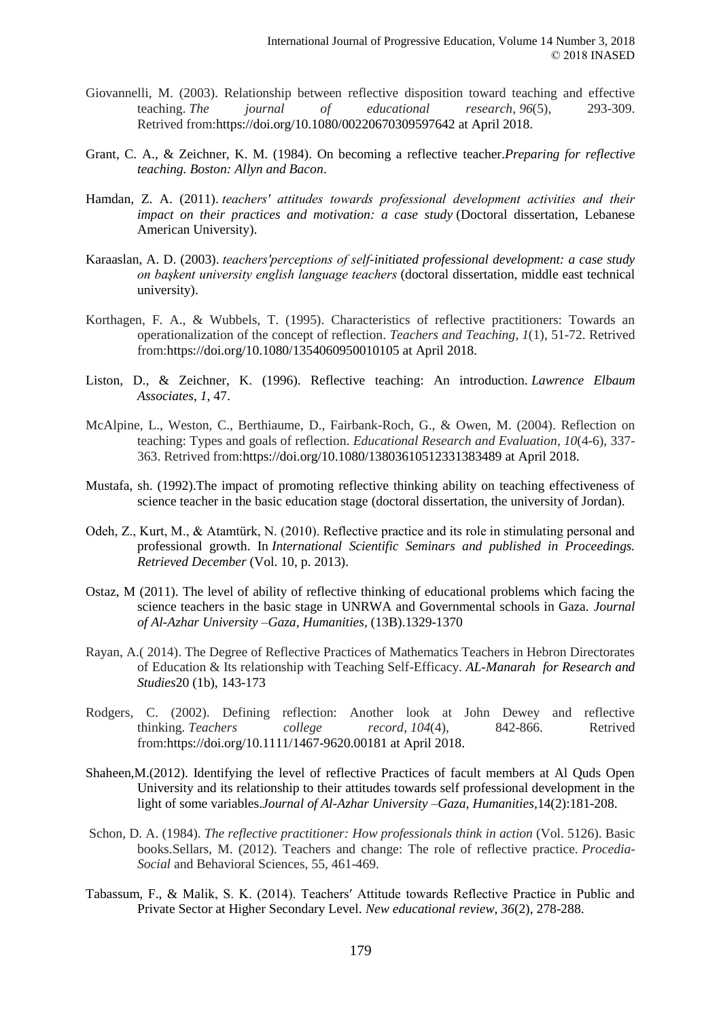- Giovannelli, M. (2003). Relationship between reflective disposition toward teaching and effective teaching. *The journal of educational research*, *96*(5), 293-309. Retrived from:https://doi.org/10.1080/00220670309597642 at April 2018.
- Grant, C. A., & Zeichner, K. M. (1984). On becoming a reflective teacher.*Preparing for reflective teaching. Boston: Allyn and Bacon*.
- Hamdan, Z. A. (2011). *teachers′ attitudes towards professional development activities and their impact on their practices and motivation: a case study* (Doctoral dissertation, Lebanese American University).
- Karaaslan, A. D. (2003). *teachers′perceptions of self-initiated professional development: a case study on başkent university english language teachers* (doctoral dissertation, middle east technical university).
- Korthagen, F. A., & Wubbels, T. (1995). Characteristics of reflective practitioners: Towards an operationalization of the concept of reflection. *Teachers and Teaching*, *1*(1), 51-72. Retrived from:https://doi.org/10.1080/1354060950010105 at April 2018.
- Liston, D., & Zeichner, K. (1996). Reflective teaching: An introduction. *Lawrence Elbaum Associates*, *1*, 47.
- McAlpine, L., Weston, C., Berthiaume, D., Fairbank-Roch, G., & Owen, M. (2004). Reflection on teaching: Types and goals of reflection. *Educational Research and Evaluation*, *10*(4-6), 337- 363. Retrived from:https://doi.org/10.1080/13803610512331383489 at April 2018.
- Mustafa, sh. (1992).The impact of promoting reflective thinking ability on teaching effectiveness of science teacher in the basic education stage (doctoral dissertation, the university of Jordan).
- Odeh, Z., Kurt, M., & Atamtürk, N. (2010). Reflective practice and its role in stimulating personal and professional growth. In *International Scientific Seminars and published in Proceedings. Retrieved December* (Vol. 10, p. 2013).
- Ostaz, M (2011). The level of ability of reflective thinking of educational problems which facing the science teachers in the basic stage in UNRWA and Governmental schools in Gaza. *Journal of Al-Azhar University –Gaza, Humanities,* (13B).1329-1370
- Rayan, A.( 2014). The Degree of Reflective Practices of Mathematics Teachers in Hebron Directorates of Education & Its relationship with Teaching Self-Efficacy. *[AL-Manarah for Research and](http://web2.aabu.edu.jo/manar/)  [Studies](http://web2.aabu.edu.jo/manar/)*20 (1b), 143-173
- Rodgers, C. (2002). Defining reflection: Another look at John Dewey and reflective thinking. *Teachers college record*, *104*(4), 842-866. Retrived from:https://doi.org/10.1111/1467-9620.00181 at April 2018.
- Shaheen,M.(2012). Identifying the level of reflective Practices of facult members at Al Quds Open University and its relationship to their attitudes towards self professional development in the light of some variables.*Journal of Al-Azhar University –Gaza, Humanities,*14(2):181-208.
- Schon, D. A. (1984). *The reflective practitioner: How professionals think in action* (Vol. 5126). Basic books.Sellars, M. (2012). Teachers and change: The role of reflective practice. *Procedia-Social* and Behavioral Sciences, 55, 461-469.
- Tabassum, F., & Malik, S. K. (2014). Teachers′ Attitude towards Reflective Practice in Public and Private Sector at Higher Secondary Level. *New educational review*, *36*(2), 278-288.